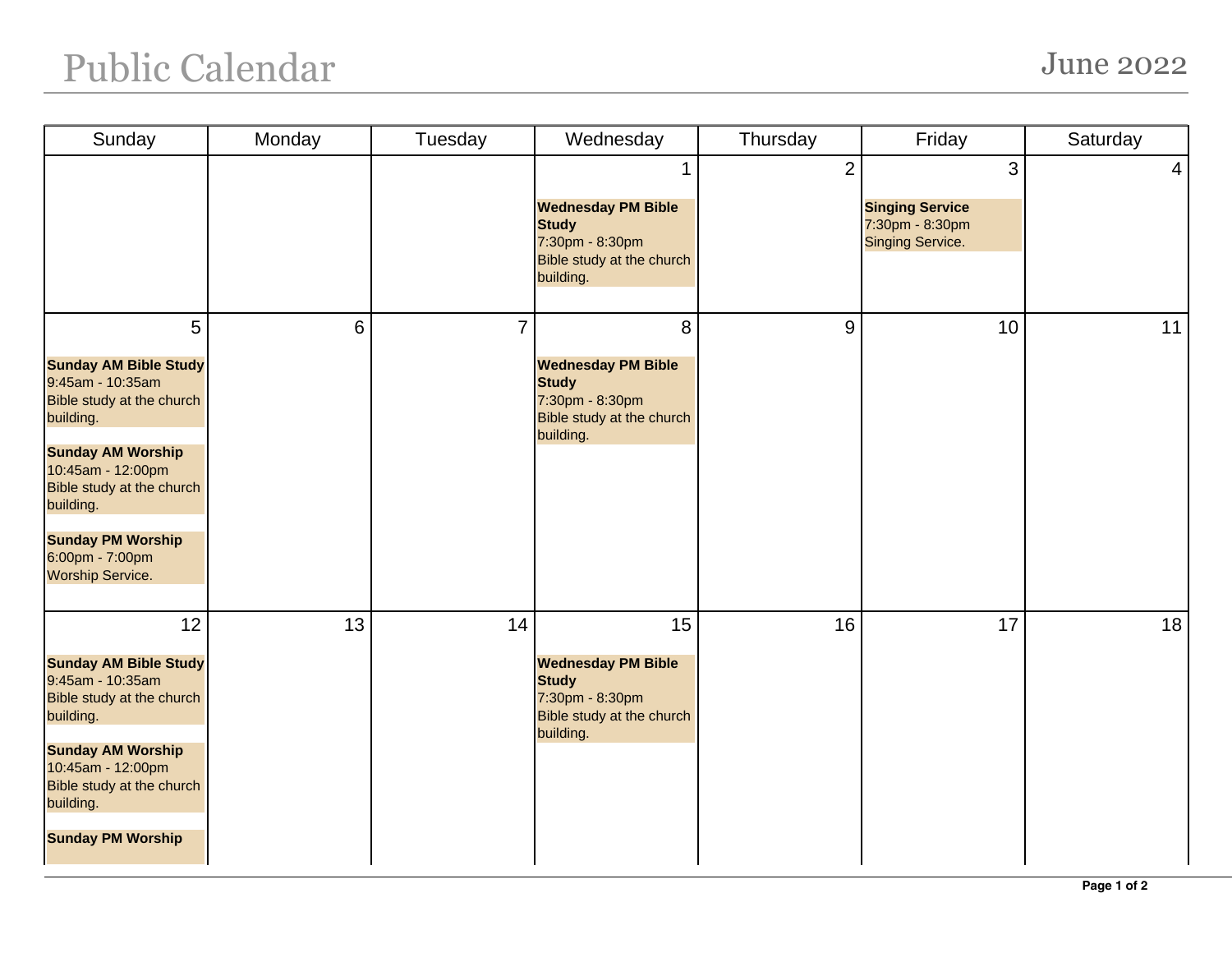## Public Calendar June 2022

| Sunday                                                                                                                                                                                                                                                               | Monday | Tuesday        | Wednesday                                                                                                    | Thursday       | Friday                                                             | Saturday        |
|----------------------------------------------------------------------------------------------------------------------------------------------------------------------------------------------------------------------------------------------------------------------|--------|----------------|--------------------------------------------------------------------------------------------------------------|----------------|--------------------------------------------------------------------|-----------------|
|                                                                                                                                                                                                                                                                      |        |                | <b>Wednesday PM Bible</b><br><b>Study</b><br>7:30pm - 8:30pm<br>Bible study at the church<br>building.       | $\overline{2}$ | 3<br><b>Singing Service</b><br>7:30pm - 8:30pm<br>Singing Service. | $\vert 4 \vert$ |
| 5<br><b>Sunday AM Bible Study</b><br>9:45am - 10:35am<br>Bible study at the church<br>building.<br><b>Sunday AM Worship</b><br>10:45am - 12:00pm<br>Bible study at the church<br>building.<br><b>Sunday PM Worship</b><br>6:00pm - 7:00pm<br><b>Worship Service.</b> | 6      | $\overline{7}$ | 8<br><b>Wednesday PM Bible</b><br><b>Study</b><br>7:30pm - 8:30pm<br>Bible study at the church<br>building.  | 9              | 10                                                                 | 11              |
| 12<br><b>Sunday AM Bible Study</b><br>9:45am - 10:35am<br>Bible study at the church<br>building.<br><b>Sunday AM Worship</b><br>10:45am - 12:00pm<br>Bible study at the church<br>building.<br><b>Sunday PM Worship</b>                                              | 13     | 14             | 15<br><b>Wednesday PM Bible</b><br><b>Study</b><br>7:30pm - 8:30pm<br>Bible study at the church<br>building. | 16             | 17                                                                 | 18              |